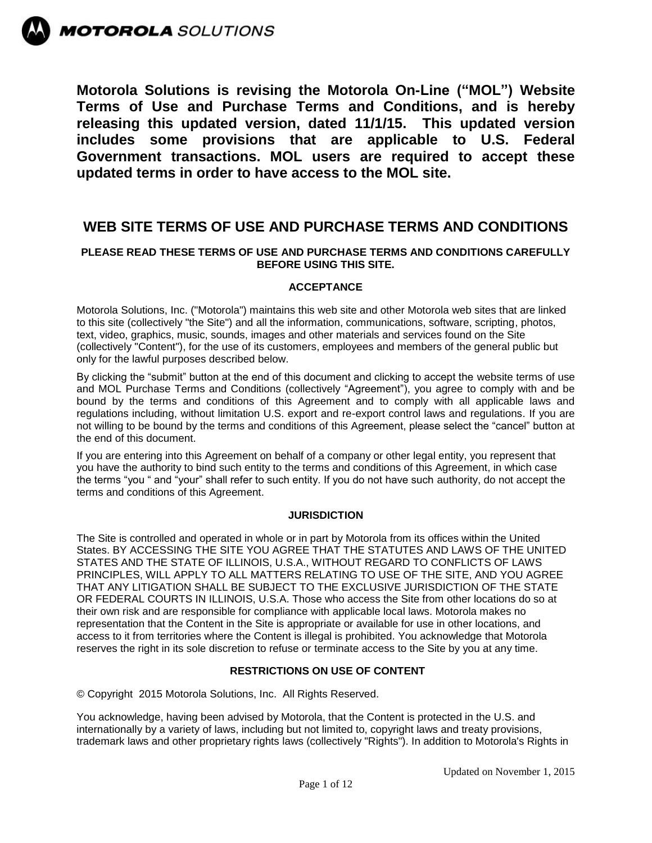

**MOTOROLA** SOLUTIONS

**Motorola Solutions is revising the Motorola On-Line ("MOL") Website Terms of Use and Purchase Terms and Conditions, and is hereby releasing this updated version, dated 11/1/15. This updated version includes some provisions that are applicable to U.S. Federal Government transactions. MOL users are required to accept these updated terms in order to have access to the MOL site.** 

# **WEB SITE TERMS OF USE AND PURCHASE TERMS AND CONDITIONS**

# **PLEASE READ THESE TERMS OF USE AND PURCHASE TERMS AND CONDITIONS CAREFULLY BEFORE USING THIS SITE.**

# **ACCEPTANCE**

Motorola Solutions, Inc. ("Motorola") maintains this web site and other Motorola web sites that are linked to this site (collectively "the Site") and all the information, communications, software, scripting, photos, text, video, graphics, music, sounds, images and other materials and services found on the Site (collectively "Content"), for the use of its customers, employees and members of the general public but only for the lawful purposes described below.

By clicking the "submit" button at the end of this document and clicking to accept the website terms of use and MOL Purchase Terms and Conditions (collectively "Agreement"), you agree to comply with and be bound by the terms and conditions of this Agreement and to comply with all applicable laws and regulations including, without limitation U.S. export and re-export control laws and regulations. If you are not willing to be bound by the terms and conditions of this Agreement, please select the "cancel" button at the end of this document.

If you are entering into this Agreement on behalf of a company or other legal entity, you represent that you have the authority to bind such entity to the terms and conditions of this Agreement, in which case the terms "you " and "your" shall refer to such entity. If you do not have such authority, do not accept the terms and conditions of this Agreement.

# **JURISDICTION**

The Site is controlled and operated in whole or in part by Motorola from its offices within the United States. BY ACCESSING THE SITE YOU AGREE THAT THE STATUTES AND LAWS OF THE UNITED STATES AND THE STATE OF ILLINOIS, U.S.A., WITHOUT REGARD TO CONFLICTS OF LAWS PRINCIPLES, WILL APPLY TO ALL MATTERS RELATING TO USE OF THE SITE, AND YOU AGREE THAT ANY LITIGATION SHALL BE SUBJECT TO THE EXCLUSIVE JURISDICTION OF THE STATE OR FEDERAL COURTS IN ILLINOIS, U.S.A. Those who access the Site from other locations do so at their own risk and are responsible for compliance with applicable local laws. Motorola makes no representation that the Content in the Site is appropriate or available for use in other locations, and access to it from territories where the Content is illegal is prohibited. You acknowledge that Motorola reserves the right in its sole discretion to refuse or terminate access to the Site by you at any time.

# **RESTRICTIONS ON USE OF CONTENT**

© Copyright 2015 Motorola Solutions, Inc. All Rights Reserved.

You acknowledge, having been advised by Motorola, that the Content is protected in the U.S. and internationally by a variety of laws, including but not limited to, copyright laws and treaty provisions, trademark laws and other proprietary rights laws (collectively "Rights"). In addition to Motorola's Rights in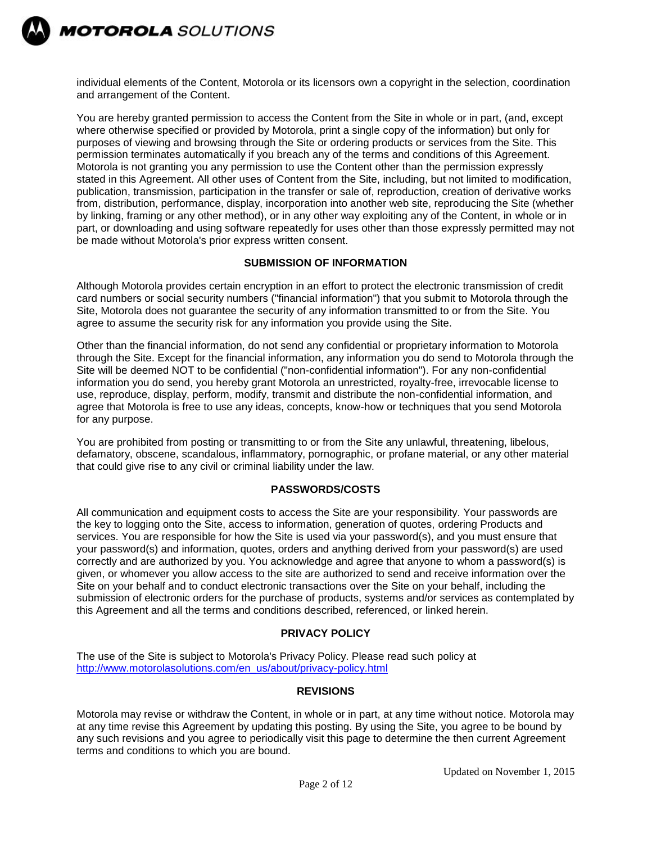

individual elements of the Content, Motorola or its licensors own a copyright in the selection, coordination and arrangement of the Content.

You are hereby granted permission to access the Content from the Site in whole or in part, (and, except where otherwise specified or provided by Motorola, print a single copy of the information) but only for purposes of viewing and browsing through the Site or ordering products or services from the Site. This permission terminates automatically if you breach any of the terms and conditions of this Agreement. Motorola is not granting you any permission to use the Content other than the permission expressly stated in this Agreement. All other uses of Content from the Site, including, but not limited to modification, publication, transmission, participation in the transfer or sale of, reproduction, creation of derivative works from, distribution, performance, display, incorporation into another web site, reproducing the Site (whether by linking, framing or any other method), or in any other way exploiting any of the Content, in whole or in part, or downloading and using software repeatedly for uses other than those expressly permitted may not be made without Motorola's prior express written consent.

# **SUBMISSION OF INFORMATION**

Although Motorola provides certain encryption in an effort to protect the electronic transmission of credit card numbers or social security numbers ("financial information") that you submit to Motorola through the Site, Motorola does not guarantee the security of any information transmitted to or from the Site. You agree to assume the security risk for any information you provide using the Site.

Other than the financial information, do not send any confidential or proprietary information to Motorola through the Site. Except for the financial information, any information you do send to Motorola through the Site will be deemed NOT to be confidential ("non-confidential information"). For any non-confidential information you do send, you hereby grant Motorola an unrestricted, royalty-free, irrevocable license to use, reproduce, display, perform, modify, transmit and distribute the non-confidential information, and agree that Motorola is free to use any ideas, concepts, know-how or techniques that you send Motorola for any purpose.

You are prohibited from posting or transmitting to or from the Site any unlawful, threatening, libelous, defamatory, obscene, scandalous, inflammatory, pornographic, or profane material, or any other material that could give rise to any civil or criminal liability under the law.

#### **PASSWORDS/COSTS**

All communication and equipment costs to access the Site are your responsibility. Your passwords are the key to logging onto the Site, access to information, generation of quotes, ordering Products and services. You are responsible for how the Site is used via your password(s), and you must ensure that your password(s) and information, quotes, orders and anything derived from your password(s) are used correctly and are authorized by you. You acknowledge and agree that anyone to whom a password(s) is given, or whomever you allow access to the site are authorized to send and receive information over the Site on your behalf and to conduct electronic transactions over the Site on your behalf, including the submission of electronic orders for the purchase of products, systems and/or services as contemplated by this Agreement and all the terms and conditions described, referenced, or linked herein.

#### **PRIVACY POLICY**

The use of the Site is subject to Motorola's Privacy Policy. Please read such policy at [http://www.motorolasolutions.com/en\\_us/about/privacy-policy.html](http://www.motorolasolutions.com/en_us/about/privacy-policy.html)

#### **REVISIONS**

Motorola may revise or withdraw the Content, in whole or in part, at any time without notice. Motorola may at any time revise this Agreement by updating this posting. By using the Site, you agree to be bound by any such revisions and you agree to periodically visit this page to determine the then current Agreement terms and conditions to which you are bound.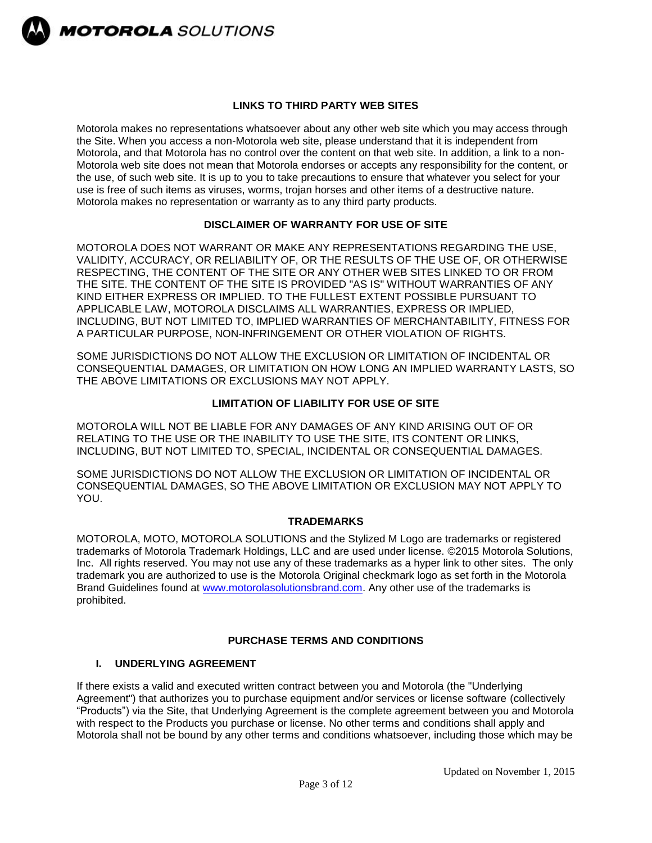

#### **LINKS TO THIRD PARTY WEB SITES**

Motorola makes no representations whatsoever about any other web site which you may access through the Site. When you access a non-Motorola web site, please understand that it is independent from Motorola, and that Motorola has no control over the content on that web site. In addition, a link to a non-Motorola web site does not mean that Motorola endorses or accepts any responsibility for the content, or the use, of such web site. It is up to you to take precautions to ensure that whatever you select for your use is free of such items as viruses, worms, trojan horses and other items of a destructive nature. Motorola makes no representation or warranty as to any third party products.

#### **DISCLAIMER OF WARRANTY FOR USE OF SITE**

MOTOROLA DOES NOT WARRANT OR MAKE ANY REPRESENTATIONS REGARDING THE USE, VALIDITY, ACCURACY, OR RELIABILITY OF, OR THE RESULTS OF THE USE OF, OR OTHERWISE RESPECTING, THE CONTENT OF THE SITE OR ANY OTHER WEB SITES LINKED TO OR FROM THE SITE. THE CONTENT OF THE SITE IS PROVIDED "AS IS" WITHOUT WARRANTIES OF ANY KIND EITHER EXPRESS OR IMPLIED. TO THE FULLEST EXTENT POSSIBLE PURSUANT TO APPLICABLE LAW, MOTOROLA DISCLAIMS ALL WARRANTIES, EXPRESS OR IMPLIED, INCLUDING, BUT NOT LIMITED TO, IMPLIED WARRANTIES OF MERCHANTABILITY, FITNESS FOR A PARTICULAR PURPOSE, NON-INFRINGEMENT OR OTHER VIOLATION OF RIGHTS.

SOME JURISDICTIONS DO NOT ALLOW THE EXCLUSION OR LIMITATION OF INCIDENTAL OR CONSEQUENTIAL DAMAGES, OR LIMITATION ON HOW LONG AN IMPLIED WARRANTY LASTS, SO THE ABOVE LIMITATIONS OR EXCLUSIONS MAY NOT APPLY.

# **LIMITATION OF LIABILITY FOR USE OF SITE**

MOTOROLA WILL NOT BE LIABLE FOR ANY DAMAGES OF ANY KIND ARISING OUT OF OR RELATING TO THE USE OR THE INABILITY TO USE THE SITE, ITS CONTENT OR LINKS, INCLUDING, BUT NOT LIMITED TO, SPECIAL, INCIDENTAL OR CONSEQUENTIAL DAMAGES.

SOME JURISDICTIONS DO NOT ALLOW THE EXCLUSION OR LIMITATION OF INCIDENTAL OR CONSEQUENTIAL DAMAGES, SO THE ABOVE LIMITATION OR EXCLUSION MAY NOT APPLY TO YOU.

# **TRADEMARKS**

MOTOROLA, MOTO, MOTOROLA SOLUTIONS and the Stylized M Logo are trademarks or registered trademarks of Motorola Trademark Holdings, LLC and are used under license. ©2015 Motorola Solutions, Inc. All rights reserved. You may not use any of these trademarks as a hyper link to other sites. The only trademark you are authorized to use is the Motorola Original checkmark logo as set forth in the Motorola Brand Guidelines found at [www.motorolasolutionsbrand.com.](http://www.motorolasolutionsbrand.com/) Any other use of the trademarks is prohibited.

# **PURCHASE TERMS AND CONDITIONS**

#### **I. UNDERLYING AGREEMENT**

If there exists a valid and executed written contract between you and Motorola (the "Underlying Agreement") that authorizes you to purchase equipment and/or services or license software (collectively "Products") via the Site, that Underlying Agreement is the complete agreement between you and Motorola with respect to the Products you purchase or license. No other terms and conditions shall apply and Motorola shall not be bound by any other terms and conditions whatsoever, including those which may be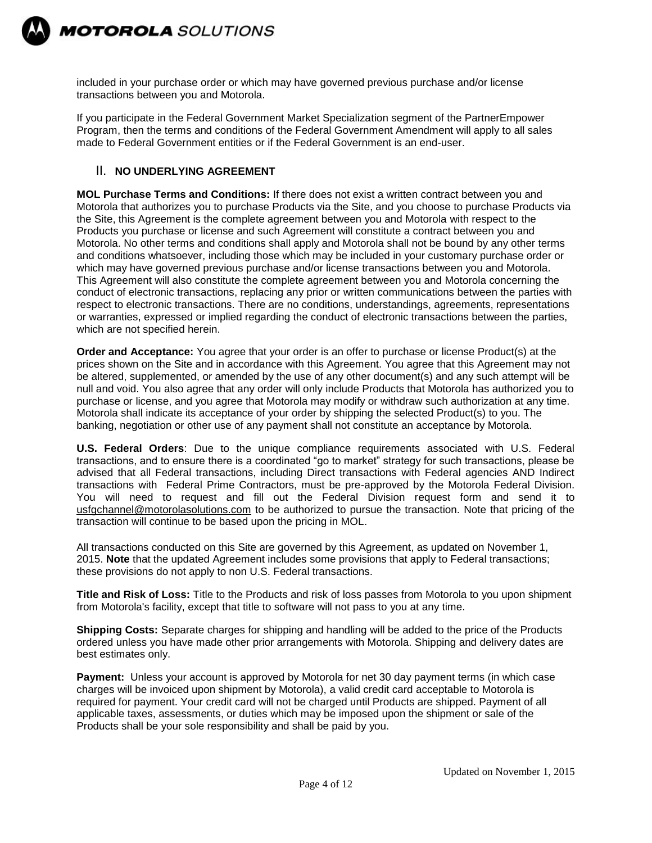

included in your purchase order or which may have governed previous purchase and/or license transactions between you and Motorola.

If you participate in the Federal Government Market Specialization segment of the PartnerEmpower Program, then the terms and conditions of the Federal Government Amendment will apply to all sales made to Federal Government entities or if the Federal Government is an end-user.

# II. **NO UNDERLYING AGREEMENT**

**MOL Purchase Terms and Conditions:** If there does not exist a written contract between you and Motorola that authorizes you to purchase Products via the Site, and you choose to purchase Products via the Site, this Agreement is the complete agreement between you and Motorola with respect to the Products you purchase or license and such Agreement will constitute a contract between you and Motorola. No other terms and conditions shall apply and Motorola shall not be bound by any other terms and conditions whatsoever, including those which may be included in your customary purchase order or which may have governed previous purchase and/or license transactions between you and Motorola. This Agreement will also constitute the complete agreement between you and Motorola concerning the conduct of electronic transactions, replacing any prior or written communications between the parties with respect to electronic transactions. There are no conditions, understandings, agreements, representations or warranties, expressed or implied regarding the conduct of electronic transactions between the parties, which are not specified herein.

**Order and Acceptance:** You agree that your order is an offer to purchase or license Product(s) at the prices shown on the Site and in accordance with this Agreement. You agree that this Agreement may not be altered, supplemented, or amended by the use of any other document(s) and any such attempt will be null and void. You also agree that any order will only include Products that Motorola has authorized you to purchase or license, and you agree that Motorola may modify or withdraw such authorization at any time. Motorola shall indicate its acceptance of your order by shipping the selected Product(s) to you. The banking, negotiation or other use of any payment shall not constitute an acceptance by Motorola.

**U.S. Federal Orders**: Due to the unique compliance requirements associated with U.S. Federal transactions, and to ensure there is a coordinated "go to market" strategy for such transactions, please be advised that all Federal transactions, including Direct transactions with Federal agencies AND Indirect transactions with Federal Prime Contractors, must be pre-approved by the Motorola Federal Division. You will need to request and fill out the Federal Division request form and send it to [usfgchannel@motorolasolutions.com](mailto:usfgchannel@motorolasolutions.com) to be authorized to pursue the transaction. Note that pricing of the transaction will continue to be based upon the pricing in MOL.

All transactions conducted on this Site are governed by this Agreement, as updated on November 1, 2015. **Note** that the updated Agreement includes some provisions that apply to Federal transactions; these provisions do not apply to non U.S. Federal transactions.

**Title and Risk of Loss:** Title to the Products and risk of loss passes from Motorola to you upon shipment from Motorola's facility, except that title to software will not pass to you at any time.

**Shipping Costs:** Separate charges for shipping and handling will be added to the price of the Products ordered unless you have made other prior arrangements with Motorola. Shipping and delivery dates are best estimates only.

**Payment:** Unless your account is approved by Motorola for net 30 day payment terms (in which case charges will be invoiced upon shipment by Motorola), a valid credit card acceptable to Motorola is required for payment. Your credit card will not be charged until Products are shipped. Payment of all applicable taxes, assessments, or duties which may be imposed upon the shipment or sale of the Products shall be your sole responsibility and shall be paid by you.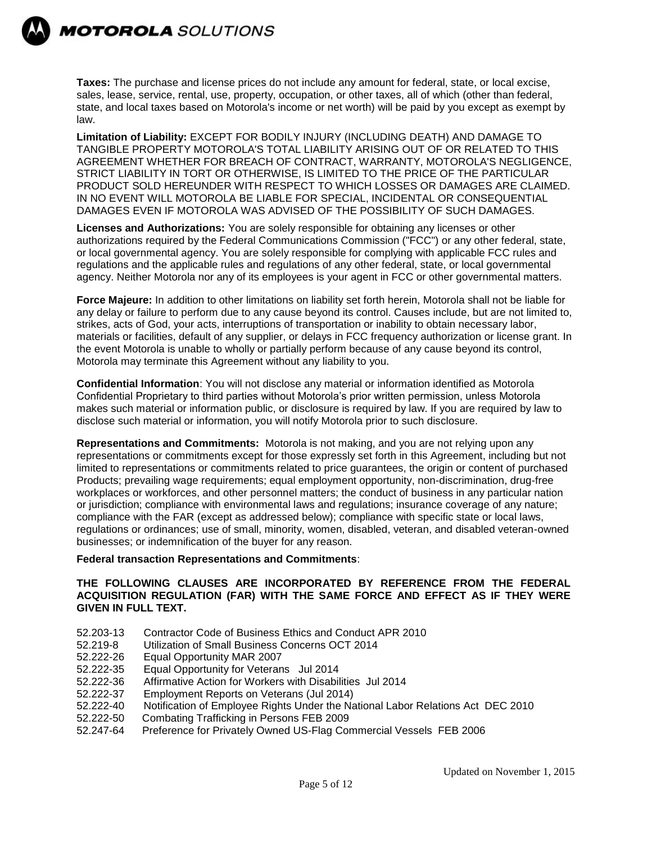

**MOTOROLA** SOLUTIONS

**Taxes:** The purchase and license prices do not include any amount for federal, state, or local excise, sales, lease, service, rental, use, property, occupation, or other taxes, all of which (other than federal, state, and local taxes based on Motorola's income or net worth) will be paid by you except as exempt by law.

**Limitation of Liability:** EXCEPT FOR BODILY INJURY (INCLUDING DEATH) AND DAMAGE TO TANGIBLE PROPERTY MOTOROLA'S TOTAL LIABILITY ARISING OUT OF OR RELATED TO THIS AGREEMENT WHETHER FOR BREACH OF CONTRACT, WARRANTY, MOTOROLA'S NEGLIGENCE, STRICT LIABILITY IN TORT OR OTHERWISE, IS LIMITED TO THE PRICE OF THE PARTICULAR PRODUCT SOLD HEREUNDER WITH RESPECT TO WHICH LOSSES OR DAMAGES ARE CLAIMED. IN NO EVENT WILL MOTOROLA BE LIABLE FOR SPECIAL, INCIDENTAL OR CONSEQUENTIAL DAMAGES EVEN IF MOTOROLA WAS ADVISED OF THE POSSIBILITY OF SUCH DAMAGES.

**Licenses and Authorizations:** You are solely responsible for obtaining any licenses or other authorizations required by the Federal Communications Commission ("FCC") or any other federal, state, or local governmental agency. You are solely responsible for complying with applicable FCC rules and regulations and the applicable rules and regulations of any other federal, state, or local governmental agency. Neither Motorola nor any of its employees is your agent in FCC or other governmental matters.

**Force Majeure:** In addition to other limitations on liability set forth herein, Motorola shall not be liable for any delay or failure to perform due to any cause beyond its control. Causes include, but are not limited to, strikes, acts of God, your acts, interruptions of transportation or inability to obtain necessary labor, materials or facilities, default of any supplier, or delays in FCC frequency authorization or license grant. In the event Motorola is unable to wholly or partially perform because of any cause beyond its control, Motorola may terminate this Agreement without any liability to you.

**Confidential Information**: You will not disclose any material or information identified as Motorola Confidential Proprietary to third parties without Motorola's prior written permission, unless Motorola makes such material or information public, or disclosure is required by law. If you are required by law to disclose such material or information, you will notify Motorola prior to such disclosure.

**Representations and Commitments:** Motorola is not making, and you are not relying upon any representations or commitments except for those expressly set forth in this Agreement, including but not limited to representations or commitments related to price guarantees, the origin or content of purchased Products; prevailing wage requirements; equal employment opportunity, non-discrimination, drug-free workplaces or workforces, and other personnel matters; the conduct of business in any particular nation or jurisdiction; compliance with environmental laws and regulations; insurance coverage of any nature; compliance with the FAR (except as addressed below); compliance with specific state or local laws, regulations or ordinances; use of small, minority, women, disabled, veteran, and disabled veteran-owned businesses; or indemnification of the buyer for any reason.

#### **Federal transaction Representations and Commitments**:

#### **THE FOLLOWING CLAUSES ARE INCORPORATED BY REFERENCE FROM THE FEDERAL ACQUISITION REGULATION (FAR) WITH THE SAME FORCE AND EFFECT AS IF THEY WERE GIVEN IN FULL TEXT.**

- 52.203-13 Contractor Code of Business Ethics and Conduct APR 2010
- 52.219-8 Utilization of Small Business Concerns OCT 2014
- 52.222-26 Equal Opportunity MAR 2007
- 52.222-35 Equal Opportunity for Veterans Jul 2014
- 52.222-36 Affirmative Action for Workers with Disabilities Jul 2014
- 52.222-37 Employment Reports on Veterans (Jul 2014)
- 52.222-40 Notification of Employee Rights Under the National Labor Relations Act DEC 2010
- 52.222-50 Combating Trafficking in Persons FEB 2009
- 52.247-64 Preference for Privately Owned US-Flag Commercial Vessels FEB 2006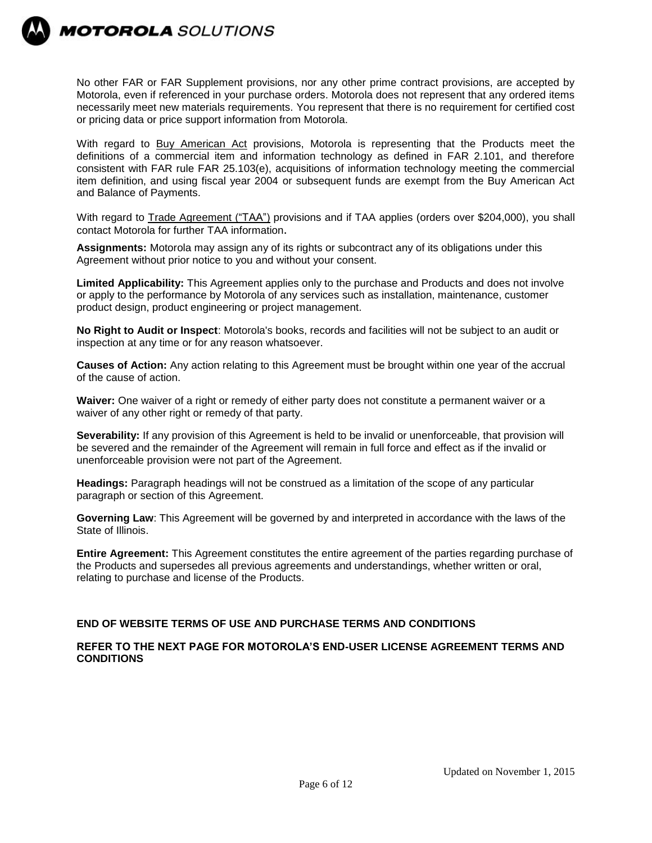

No other FAR or FAR Supplement provisions, nor any other prime contract provisions, are accepted by Motorola, even if referenced in your purchase orders. Motorola does not represent that any ordered items necessarily meet new materials requirements. You represent that there is no requirement for certified cost or pricing data or price support information from Motorola.

With regard to Buy American Act provisions, Motorola is representing that the Products meet the definitions of a commercial item and information technology as defined in FAR 2.101, and therefore consistent with FAR rule FAR 25.103(e), acquisitions of information technology meeting the commercial item definition, and using fiscal year 2004 or subsequent funds are exempt from the Buy American Act and Balance of Payments.

With regard to Trade Agreement ("TAA") provisions and if TAA applies (orders over \$204,000), you shall contact Motorola for further TAA information.

**Assignments:** Motorola may assign any of its rights or subcontract any of its obligations under this Agreement without prior notice to you and without your consent.

**Limited Applicability:** This Agreement applies only to the purchase and Products and does not involve or apply to the performance by Motorola of any services such as installation, maintenance, customer product design, product engineering or project management.

**No Right to Audit or Inspect**: Motorola's books, records and facilities will not be subject to an audit or inspection at any time or for any reason whatsoever.

**Causes of Action:** Any action relating to this Agreement must be brought within one year of the accrual of the cause of action.

**Waiver:** One waiver of a right or remedy of either party does not constitute a permanent waiver or a waiver of any other right or remedy of that party.

**Severability:** If any provision of this Agreement is held to be invalid or unenforceable, that provision will be severed and the remainder of the Agreement will remain in full force and effect as if the invalid or unenforceable provision were not part of the Agreement.

**Headings:** Paragraph headings will not be construed as a limitation of the scope of any particular paragraph or section of this Agreement.

**Governing Law**: This Agreement will be governed by and interpreted in accordance with the laws of the State of Illinois.

**Entire Agreement:** This Agreement constitutes the entire agreement of the parties regarding purchase of the Products and supersedes all previous agreements and understandings, whether written or oral, relating to purchase and license of the Products.

#### **END OF WEBSITE TERMS OF USE AND PURCHASE TERMS AND CONDITIONS**

#### **REFER TO THE NEXT PAGE FOR MOTOROLA'S END-USER LICENSE AGREEMENT TERMS AND CONDITIONS**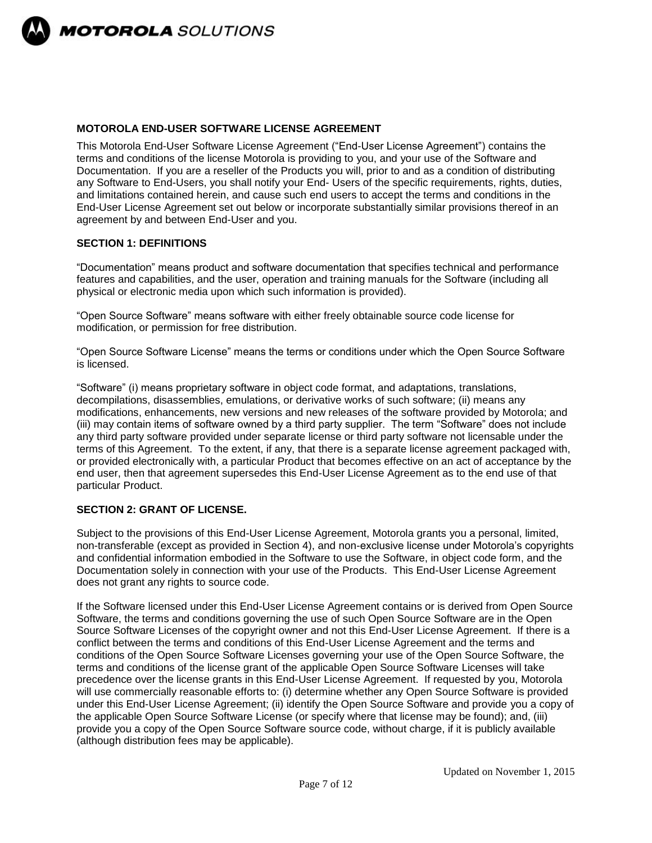

# **MOTOROLA END-USER SOFTWARE LICENSE AGREEMENT**

This Motorola End-User Software License Agreement ("End-User License Agreement") contains the terms and conditions of the license Motorola is providing to you, and your use of the Software and Documentation. If you are a reseller of the Products you will, prior to and as a condition of distributing any Software to End-Users, you shall notify your End- Users of the specific requirements, rights, duties, and limitations contained herein, and cause such end users to accept the terms and conditions in the End-User License Agreement set out below or incorporate substantially similar provisions thereof in an agreement by and between End-User and you.

# **SECTION 1: DEFINITIONS**

"Documentation" means product and software documentation that specifies technical and performance features and capabilities, and the user, operation and training manuals for the Software (including all physical or electronic media upon which such information is provided).

"Open Source Software" means software with either freely obtainable source code license for modification, or permission for free distribution.

"Open Source Software License" means the terms or conditions under which the Open Source Software is licensed.

"Software" (i) means proprietary software in object code format, and adaptations, translations, decompilations, disassemblies, emulations, or derivative works of such software; (ii) means any modifications, enhancements, new versions and new releases of the software provided by Motorola; and (iii) may contain items of software owned by a third party supplier. The term "Software" does not include any third party software provided under separate license or third party software not licensable under the terms of this Agreement. To the extent, if any, that there is a separate license agreement packaged with, or provided electronically with, a particular Product that becomes effective on an act of acceptance by the end user, then that agreement supersedes this End-User License Agreement as to the end use of that particular Product.

# **SECTION 2: GRANT OF LICENSE.**

Subject to the provisions of this End-User License Agreement, Motorola grants you a personal, limited, non-transferable (except as provided in Section 4), and non-exclusive license under Motorola's copyrights and confidential information embodied in the Software to use the Software, in object code form, and the Documentation solely in connection with your use of the Products. This End-User License Agreement does not grant any rights to source code.

If the Software licensed under this End-User License Agreement contains or is derived from Open Source Software, the terms and conditions governing the use of such Open Source Software are in the Open Source Software Licenses of the copyright owner and not this End-User License Agreement. If there is a conflict between the terms and conditions of this End-User License Agreement and the terms and conditions of the Open Source Software Licenses governing your use of the Open Source Software, the terms and conditions of the license grant of the applicable Open Source Software Licenses will take precedence over the license grants in this End-User License Agreement. If requested by you, Motorola will use commercially reasonable efforts to: (i) determine whether any Open Source Software is provided under this End-User License Agreement; (ii) identify the Open Source Software and provide you a copy of the applicable Open Source Software License (or specify where that license may be found); and, (iii) provide you a copy of the Open Source Software source code, without charge, if it is publicly available (although distribution fees may be applicable).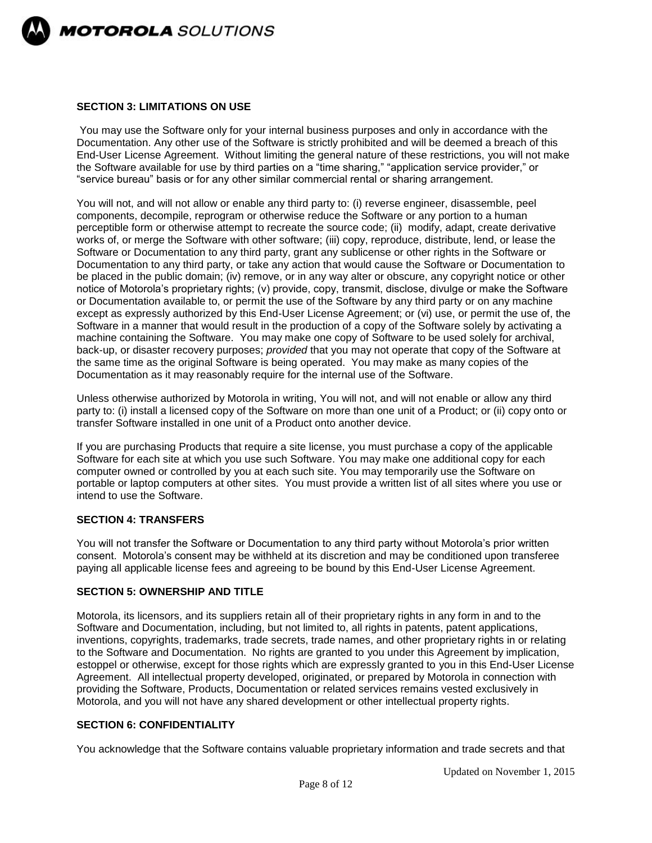

### **SECTION 3: LIMITATIONS ON USE**

You may use the Software only for your internal business purposes and only in accordance with the Documentation. Any other use of the Software is strictly prohibited and will be deemed a breach of this End-User License Agreement. Without limiting the general nature of these restrictions, you will not make the Software available for use by third parties on a "time sharing," "application service provider," or "service bureau" basis or for any other similar commercial rental or sharing arrangement.

You will not, and will not allow or enable any third party to: (i) reverse engineer, disassemble, peel components, decompile, reprogram or otherwise reduce the Software or any portion to a human perceptible form or otherwise attempt to recreate the source code; (ii) modify, adapt, create derivative works of, or merge the Software with other software; (iii) copy, reproduce, distribute, lend, or lease the Software or Documentation to any third party, grant any sublicense or other rights in the Software or Documentation to any third party, or take any action that would cause the Software or Documentation to be placed in the public domain; (iv) remove, or in any way alter or obscure, any copyright notice or other notice of Motorola's proprietary rights; (v) provide, copy, transmit, disclose, divulge or make the Software or Documentation available to, or permit the use of the Software by any third party or on any machine except as expressly authorized by this End-User License Agreement; or (vi) use, or permit the use of, the Software in a manner that would result in the production of a copy of the Software solely by activating a machine containing the Software. You may make one copy of Software to be used solely for archival, back-up, or disaster recovery purposes; *provided* that you may not operate that copy of the Software at the same time as the original Software is being operated. You may make as many copies of the Documentation as it may reasonably require for the internal use of the Software.

Unless otherwise authorized by Motorola in writing, You will not, and will not enable or allow any third party to: (i) install a licensed copy of the Software on more than one unit of a Product; or (ii) copy onto or transfer Software installed in one unit of a Product onto another device.

If you are purchasing Products that require a site license, you must purchase a copy of the applicable Software for each site at which you use such Software. You may make one additional copy for each computer owned or controlled by you at each such site. You may temporarily use the Software on portable or laptop computers at other sites. You must provide a written list of all sites where you use or intend to use the Software.

#### **SECTION 4: TRANSFERS**

You will not transfer the Software or Documentation to any third party without Motorola's prior written consent. Motorola's consent may be withheld at its discretion and may be conditioned upon transferee paying all applicable license fees and agreeing to be bound by this End-User License Agreement.

### **SECTION 5: OWNERSHIP AND TITLE**

Motorola, its licensors, and its suppliers retain all of their proprietary rights in any form in and to the Software and Documentation, including, but not limited to, all rights in patents, patent applications, inventions, copyrights, trademarks, trade secrets, trade names, and other proprietary rights in or relating to the Software and Documentation. No rights are granted to you under this Agreement by implication, estoppel or otherwise, except for those rights which are expressly granted to you in this End-User License Agreement. All intellectual property developed, originated, or prepared by Motorola in connection with providing the Software, Products, Documentation or related services remains vested exclusively in Motorola, and you will not have any shared development or other intellectual property rights.

#### **SECTION 6: CONFIDENTIALITY**

You acknowledge that the Software contains valuable proprietary information and trade secrets and that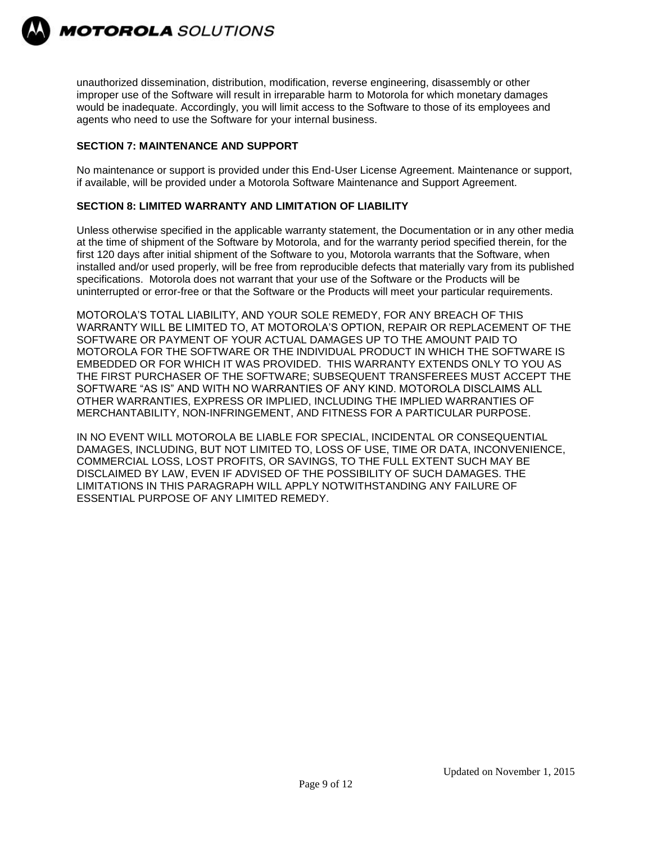

unauthorized dissemination, distribution, modification, reverse engineering, disassembly or other improper use of the Software will result in irreparable harm to Motorola for which monetary damages would be inadequate. Accordingly, you will limit access to the Software to those of its employees and agents who need to use the Software for your internal business.

# **SECTION 7: MAINTENANCE AND SUPPORT**

No maintenance or support is provided under this End-User License Agreement. Maintenance or support, if available, will be provided under a Motorola Software Maintenance and Support Agreement.

# **SECTION 8: LIMITED WARRANTY AND LIMITATION OF LIABILITY**

Unless otherwise specified in the applicable warranty statement, the Documentation or in any other media at the time of shipment of the Software by Motorola, and for the warranty period specified therein, for the first 120 days after initial shipment of the Software to you, Motorola warrants that the Software, when installed and/or used properly, will be free from reproducible defects that materially vary from its published specifications. Motorola does not warrant that your use of the Software or the Products will be uninterrupted or error-free or that the Software or the Products will meet your particular requirements.

MOTOROLA'S TOTAL LIABILITY, AND YOUR SOLE REMEDY, FOR ANY BREACH OF THIS WARRANTY WILL BE LIMITED TO, AT MOTOROLA'S OPTION, REPAIR OR REPLACEMENT OF THE SOFTWARE OR PAYMENT OF YOUR ACTUAL DAMAGES UP TO THE AMOUNT PAID TO MOTOROLA FOR THE SOFTWARE OR THE INDIVIDUAL PRODUCT IN WHICH THE SOFTWARE IS EMBEDDED OR FOR WHICH IT WAS PROVIDED. THIS WARRANTY EXTENDS ONLY TO YOU AS THE FIRST PURCHASER OF THE SOFTWARE; SUBSEQUENT TRANSFEREES MUST ACCEPT THE SOFTWARE "AS IS" AND WITH NO WARRANTIES OF ANY KIND. MOTOROLA DISCLAIMS ALL OTHER WARRANTIES, EXPRESS OR IMPLIED, INCLUDING THE IMPLIED WARRANTIES OF MERCHANTABILITY, NON-INFRINGEMENT, AND FITNESS FOR A PARTICULAR PURPOSE.

IN NO EVENT WILL MOTOROLA BE LIABLE FOR SPECIAL, INCIDENTAL OR CONSEQUENTIAL DAMAGES, INCLUDING, BUT NOT LIMITED TO, LOSS OF USE, TIME OR DATA, INCONVENIENCE, COMMERCIAL LOSS, LOST PROFITS, OR SAVINGS, TO THE FULL EXTENT SUCH MAY BE DISCLAIMED BY LAW, EVEN IF ADVISED OF THE POSSIBILITY OF SUCH DAMAGES. THE LIMITATIONS IN THIS PARAGRAPH WILL APPLY NOTWITHSTANDING ANY FAILURE OF ESSENTIAL PURPOSE OF ANY LIMITED REMEDY.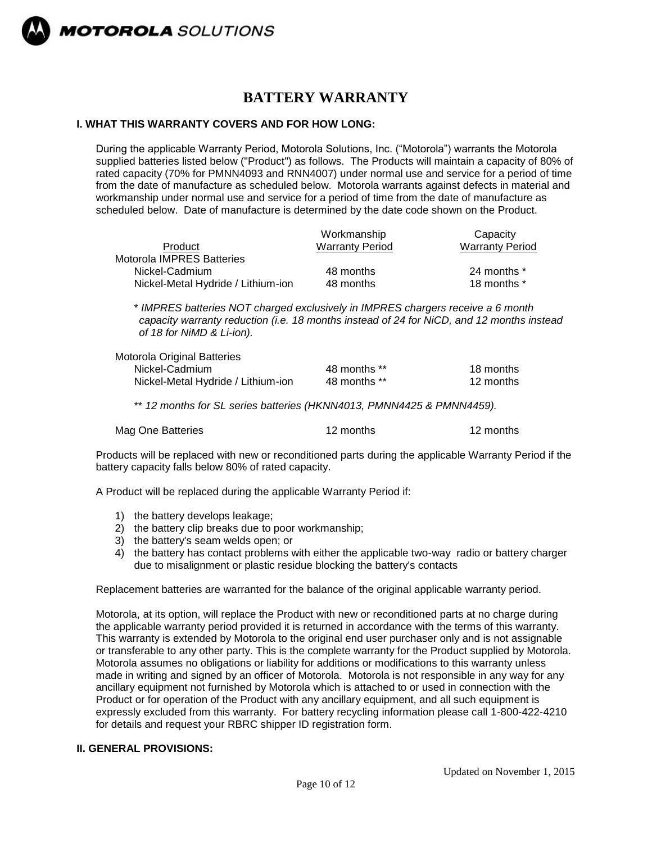

# **BATTERY WARRANTY**

# **I. WHAT THIS WARRANTY COVERS AND FOR HOW LONG:**

During the applicable Warranty Period, Motorola Solutions, Inc. ("Motorola") warrants the Motorola supplied batteries listed below ("Product") as follows. The Products will maintain a capacity of 80% of rated capacity (70% for PMNN4093 and RNN4007) under normal use and service for a period of time from the date of manufacture as scheduled below. Motorola warrants against defects in material and workmanship under normal use and service for a period of time from the date of manufacture as scheduled below. Date of manufacture is determined by the date code shown on the Product.

| Workmanship<br><b>Warranty Period</b> | Capacity<br><b>Warranty Period</b> |
|---------------------------------------|------------------------------------|
|                                       |                                    |
| 48 months                             | 24 months *                        |
| 48 months                             | 18 months *                        |
|                                       |                                    |

\* *IMPRES batteries NOT charged exclusively in IMPRES chargers receive a 6 month capacity warranty reduction (i.e. 18 months instead of 24 for NiCD, and 12 months instead of 18 for NiMD & Li-ion).*

| Motorola Original Batteries        |              |           |
|------------------------------------|--------------|-----------|
| Nickel-Cadmium                     | 48 months ** | 18 months |
| Nickel-Metal Hydride / Lithium-ion | 48 months ** | 12 months |

\*\* *12 months for SL series batteries (HKNN4013, PMNN4425 & PMNN4459).*

|  | Mag One Batteries | 12 months | 12 months |
|--|-------------------|-----------|-----------|
|--|-------------------|-----------|-----------|

Products will be replaced with new or reconditioned parts during the applicable Warranty Period if the battery capacity falls below 80% of rated capacity.

A Product will be replaced during the applicable Warranty Period if:

- 1) the battery develops leakage;
- 2) the battery clip breaks due to poor workmanship;
- 3) the battery's seam welds open; or
- 4) the battery has contact problems with either the applicable two-way radio or battery charger due to misalignment or plastic residue blocking the battery's contacts

Replacement batteries are warranted for the balance of the original applicable warranty period.

Motorola, at its option, will replace the Product with new or reconditioned parts at no charge during the applicable warranty period provided it is returned in accordance with the terms of this warranty. This warranty is extended by Motorola to the original end user purchaser only and is not assignable or transferable to any other party. This is the complete warranty for the Product supplied by Motorola. Motorola assumes no obligations or liability for additions or modifications to this warranty unless made in writing and signed by an officer of Motorola. Motorola is not responsible in any way for any ancillary equipment not furnished by Motorola which is attached to or used in connection with the Product or for operation of the Product with any ancillary equipment, and all such equipment is expressly excluded from this warranty. For battery recycling information please call 1-800-422-4210 for details and request your RBRC shipper ID registration form.

#### **II. GENERAL PROVISIONS:**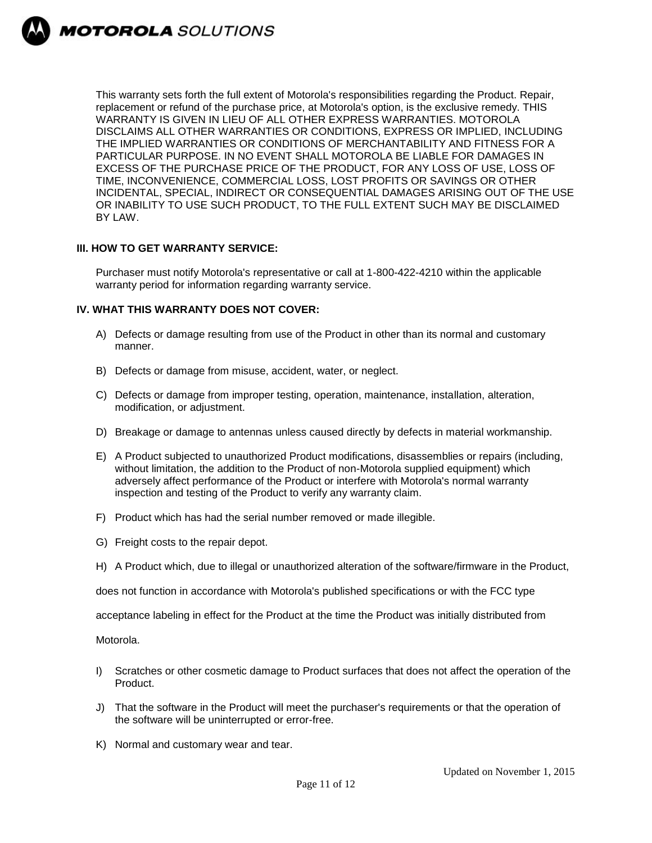

This warranty sets forth the full extent of Motorola's responsibilities regarding the Product. Repair, replacement or refund of the purchase price, at Motorola's option, is the exclusive remedy. THIS WARRANTY IS GIVEN IN LIEU OF ALL OTHER EXPRESS WARRANTIES. MOTOROLA DISCLAIMS ALL OTHER WARRANTIES OR CONDITIONS, EXPRESS OR IMPLIED, INCLUDING THE IMPLIED WARRANTIES OR CONDITIONS OF MERCHANTABILITY AND FITNESS FOR A PARTICULAR PURPOSE. IN NO EVENT SHALL MOTOROLA BE LIABLE FOR DAMAGES IN EXCESS OF THE PURCHASE PRICE OF THE PRODUCT, FOR ANY LOSS OF USE, LOSS OF TIME, INCONVENIENCE, COMMERCIAL LOSS, LOST PROFITS OR SAVINGS OR OTHER INCIDENTAL, SPECIAL, INDIRECT OR CONSEQUENTIAL DAMAGES ARISING OUT OF THE USE OR INABILITY TO USE SUCH PRODUCT, TO THE FULL EXTENT SUCH MAY BE DISCLAIMED BY LAW.

#### **III. HOW TO GET WARRANTY SERVICE:**

Purchaser must notify Motorola's representative or call at 1-800-422-4210 within the applicable warranty period for information regarding warranty service.

#### **IV. WHAT THIS WARRANTY DOES NOT COVER:**

- A) Defects or damage resulting from use of the Product in other than its normal and customary manner.
- B) Defects or damage from misuse, accident, water, or neglect.
- C) Defects or damage from improper testing, operation, maintenance, installation, alteration, modification, or adjustment.
- D) Breakage or damage to antennas unless caused directly by defects in material workmanship.
- E) A Product subjected to unauthorized Product modifications, disassemblies or repairs (including, without limitation, the addition to the Product of non-Motorola supplied equipment) which adversely affect performance of the Product or interfere with Motorola's normal warranty inspection and testing of the Product to verify any warranty claim.
- F) Product which has had the serial number removed or made illegible.
- G) Freight costs to the repair depot.
- H) A Product which, due to illegal or unauthorized alteration of the software/firmware in the Product,

does not function in accordance with Motorola's published specifications or with the FCC type

acceptance labeling in effect for the Product at the time the Product was initially distributed from

Motorola.

- I) Scratches or other cosmetic damage to Product surfaces that does not affect the operation of the Product.
- J) That the software in the Product will meet the purchaser's requirements or that the operation of the software will be uninterrupted or error-free.
- K) Normal and customary wear and tear.